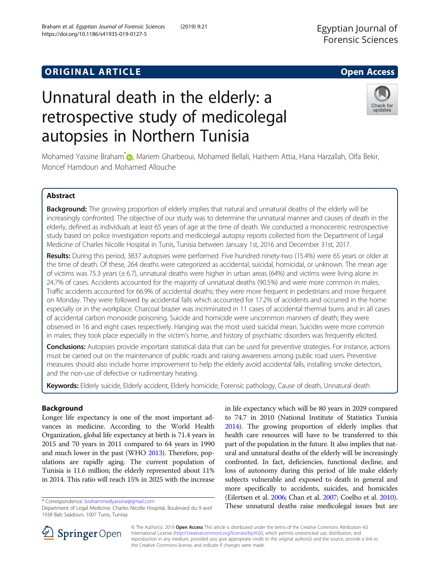# **ORIGINAL ARTICLE CONSERVANCE IN A LOCAL CONSERVANCE IN A LOCAL CONSERVANCE IN A LOCAL CONSERVANCE IN A LOCAL CONS**

# Unnatural death in the elderly: a retrospective study of medicolegal autopsies in Northern Tunisia

Mohamed Yassine Braham<sup>\*</sup> [,](http://orcid.org/0000-0003-4846-5694) Mariem Gharbeoui, Mohamed Bellali, Haithem Attia, Hana Harzallah, Olfa Bekir, Moncef Hamdoun and Mohamed Allouche

## Abstract

Background: The growing proportion of elderly implies that natural and unnatural deaths of the elderly will be increasingly confronted. The objective of our study was to determine the unnatural manner and causes of death in the elderly, defined as individuals at least 65 years of age at the time of death. We conducted a monocentric restrospective study based on police investigation reports and medicolegal autopsy reports collected from the Department of Legal Medicine of Charles Nicolle Hospital in Tunis, Tunisia between January 1st, 2016 and December 31st, 2017.

Results: During this period, 3837 autopsies were performed. Five hundred ninety-two (15.4%) were 65 years or older at the time of death. Of these, 264 deaths were categorized as accidental, suicidal, homicidal, or unknown. The mean age of victims was 75.3 years (± 6.7), unnatural deaths were higher in urban areas (64%) and victims were living alone in 24.7% of cases. Accidents accounted for the majority of unnatural deaths (90.5%) and were more common in males. Traffic accidents accounted for 66.9% of accidental deaths; they were more frequent in pedestrians and more frequent on Monday. They were followed by accidental falls which accounted for 17.2% of accidents and occurred in the home especially or in the workplace. Charcoal brazier was incriminated in 11 cases of accidental thermal burns and in all cases of accidental carbon monoxide poisoning. Suicide and homicide were uncommon manners of death; they were observed in 16 and eight cases respectively. Hanging was the most used suicidal mean. Suicides were more common in males; they took place especially in the victim's home, and history of psychiatric disorders was frequently elicited.

Conclusions: Autopsies provide important statistical data that can be used for preventive strategies. For instance, actions must be carried out on the maintenance of public roads and raising awareness among public road users. Preventive measures should also include home improvement to help the elderly avoid accidental falls, installing smoke detectors, and the non-use of defective or rudimentary heating.

Keywords: Elderly suicide, Elderly accident, Elderly homicide, Forensic pathology, Cause of death, Unnatural death

### Background

Longer life expectancy is one of the most important advances in medicine. According to the World Health Organization, global life expectancy at birth is 71.4 years in 2015 and 70 years in 2011 compared to 64 years in 1990 and much lower in the past (WHO [2013\)](#page-8-0). Therefore, populations are rapidly aging. The current population of Tunisia is 11.6 million; the elderly represented about 11% in 2014. This ratio will reach 15% in 2025 with the increase

\* Correspondence: [brahammedyassine@gmail.com](mailto:brahammedyassine@gmail.com)

SpringerOpen

to 74.7 in 2010 (National Institute of Statistics Tunisia [2014\)](#page-7-0). The growing proportion of elderly implies that health care resources will have to be transferred to this part of the population in the future. It also implies that natural and unnatural deaths of the elderly will be increasingly confronted. In fact, deficiencies, functional decline, and loss of autonomy during this period of life make elderly subjects vulnerable and exposed to death in general and more specifically to accidents, suicides, and homicides (Eilertsen et al. [2006](#page-7-0); Chan et al. [2007](#page-7-0); Coelho et al. [2010](#page-7-0)). These unnatural deaths raise medicolegal issues but are

in life expectancy which will be 80 years in 2029 compared

© The Author(s). 2019 Open Access This article is distributed under the terms of the Creative Commons Attribution 4.0 International License ([http://creativecommons.org/licenses/by/4.0/\)](http://creativecommons.org/licenses/by/4.0/), which permits unrestricted use, distribution, and reproduction in any medium, provided you give appropriate credit to the original author(s) and the source, provide a link to the Creative Commons license, and indicate if changes were made.





Check for

updates

Department of Legal Medicine, Charles Nicolle Hospital, Boulevard du 9 avril 1938 Bab Saâdoun, 1007 Tunis, Tunisia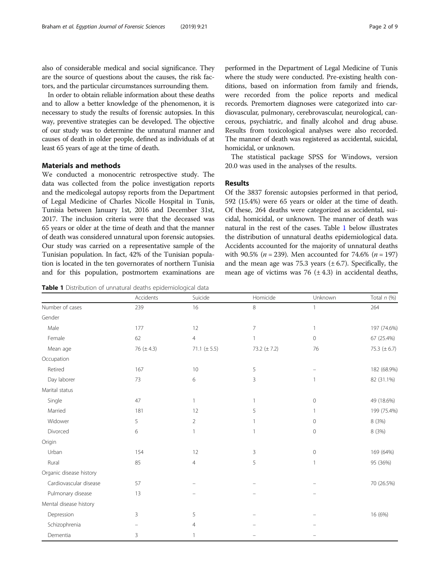<span id="page-1-0"></span>also of considerable medical and social significance. They are the source of questions about the causes, the risk factors, and the particular circumstances surrounding them.

In order to obtain reliable information about these deaths and to allow a better knowledge of the phenomenon, it is necessary to study the results of forensic autopsies. In this way, preventive strategies can be developed. The objective of our study was to determine the unnatural manner and causes of death in older people, defined as individuals of at least 65 years of age at the time of death.

#### Materials and methods

We conducted a monocentric retrospective study. The data was collected from the police investigation reports and the medicolegal autopsy reports from the Department of Legal Medicine of Charles Nicolle Hospital in Tunis, Tunisia between January 1st, 2016 and December 31st, 2017. The inclusion criteria were that the deceased was 65 years or older at the time of death and that the manner of death was considered unnatural upon forensic autopsies. Our study was carried on a representative sample of the Tunisian population. In fact, 42% of the Tunisian population is located in the ten governorates of northern Tunisia and for this population, postmortem examinations are

Table 1 Distribution of unnatural deaths epidemiological data

performed in the Department of Legal Medicine of Tunis where the study were conducted. Pre-existing health conditions, based on information from family and friends, were recorded from the police reports and medical records. Premortem diagnoses were categorized into cardiovascular, pulmonary, cerebrovascular, neurological, cancerous, psychiatric, and finally alcohol and drug abuse. Results from toxicological analyses were also recorded. The manner of death was registered as accidental, suicidal, homicidal, or unknown.

The statistical package SPSS for Windows, version 20.0 was used in the analyses of the results.

#### Results

Of the 3837 forensic autopsies performed in that period, 592 (15.4%) were 65 years or older at the time of death. Of these, 264 deaths were categorized as accidental, suicidal, homicidal, or unknown. The manner of death was natural in the rest of the cases. Table 1 below illustrates the distribution of unnatural deaths epidemiological data. Accidents accounted for the majority of unnatural deaths with 90.5% ( $n = 239$ ). Men accounted for 74.6% ( $n = 197$ ) and the mean age was 75.3 years  $(\pm 6.7)$ . Specifically, the mean age of victims was 76  $(\pm 4.3)$  in accidental deaths,

|                         | Accidents      | Suicide          | Homicide         | Unknown        | Total $n$ $(\%)$ |
|-------------------------|----------------|------------------|------------------|----------------|------------------|
| Number of cases         | 239            | 16               | 8                | 1              | 264              |
| Gender                  |                |                  |                  |                |                  |
| Male                    | 177            | 12               | $\overline{7}$   | 1              | 197 (74.6%)      |
| Female                  | 62             | $\overline{4}$   |                  | $\circ$        | 67 (25.4%)       |
| Mean age                | 76 $(\pm 4.3)$ | 71.1 $(\pm 5.5)$ | 73.2 $(\pm 7.2)$ | 76             | 75.3 $(\pm 6.7)$ |
| Occupation              |                |                  |                  |                |                  |
| Retired                 | 167            | $10$             | 5                |                | 182 (68.9%)      |
| Day laborer             | 73             | 6                | 3                | $\overline{1}$ | 82 (31.1%)       |
| Marital status          |                |                  |                  |                |                  |
| Single                  | 47             | $\mathbf{1}$     | $\mathbf{1}$     | $\circ$        | 49 (18.6%)       |
| Married                 | 181            | 12               | 5                | 1              | 199 (75.4%)      |
| Widower                 | 5              | $\overline{2}$   |                  | $\circ$        | 8 (3%)           |
| Divorced                | 6              | $\mathbf{1}$     |                  | $\mathbf 0$    | 8 (3%)           |
| Origin                  |                |                  |                  |                |                  |
| Urban                   | 154            | 12               | 3                | $\mathbb O$    | 169 (64%)        |
| Rural                   | 85             | 4                | 5                |                | 95 (36%)         |
| Organic disease history |                |                  |                  |                |                  |
| Cardiovascular disease  | 57             |                  |                  |                | 70 (26.5%)       |
| Pulmonary disease       | 13             |                  |                  |                |                  |
| Mental disease history  |                |                  |                  |                |                  |
| Depression              | 3              | 5                |                  |                | 16 (6%)          |
| Schizophrenia           |                | 4                |                  |                |                  |
| Dementia                | 3              | $\mathbf{1}$     |                  |                |                  |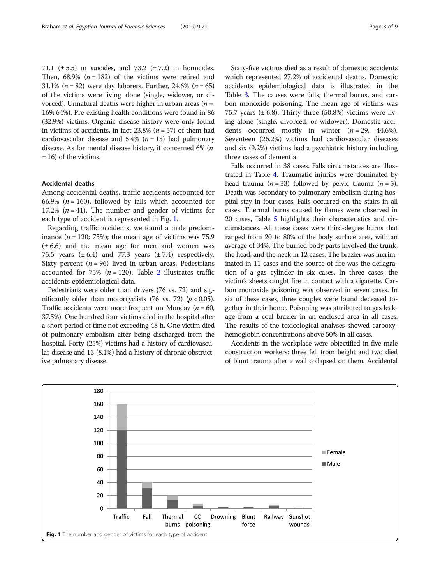71.1 ( $\pm$  5.5) in suicides, and 73.2 ( $\pm$  7.2) in homicides. Then,  $68.9\%$  ( $n = 182$ ) of the victims were retired and 31.1% ( $n = 82$ ) were day laborers. Further, 24.6% ( $n = 65$ ) of the victims were living alone (single, widower, or divorced). Unnatural deaths were higher in urban areas ( $n =$ 169; 64%). Pre-existing health conditions were found in 86 (32.9%) victims. Organic disease history were only found in victims of accidents, in fact  $23.8\%$  ( $n = 57$ ) of them had cardiovascular disease and 5.4% ( $n = 13$ ) had pulmonary disease. As for mental disease history, it concerned 6% (n = 16) of the victims.

#### Accidental deaths

Among accidental deaths, traffic accidents accounted for 66.9% ( $n = 160$ ), followed by falls which accounted for 17.2%  $(n = 41)$ . The number and gender of victims for each type of accident is represented in Fig. 1.

Regarding traffic accidents, we found a male predominance  $(n = 120; 75%)$ ; the mean age of victims was 75.9 (± 6.6) and the mean age for men and women was 75.5 years  $(\pm 6.4)$  and 77.3 years  $(\pm 7.4)$  respectively. Sixty percent ( $n = 96$ ) lived in urban areas. Pedestrians accounted for 75% ( $n = 120$  $n = 120$  $n = 120$ ). Table 2 illustrates traffic accidents epidemiological data.

Pedestrians were older than drivers (76 vs. 72) and significantly older than motorcyclists (76 vs. 72) ( $p < 0.05$ ). Traffic accidents were more frequent on Monday ( $n = 60$ , 37.5%). One hundred four victims died in the hospital after a short period of time not exceeding 48 h. One victim died of pulmonary embolism after being discharged from the hospital. Forty (25%) victims had a history of cardiovascular disease and 13 (8.1%) had a history of chronic obstructive pulmonary disease.

Sixty-five victims died as a result of domestic accidents which represented 27.2% of accidental deaths. Domestic accidents epidemiological data is illustrated in the Table [3.](#page-4-0) The causes were falls, thermal burns, and carbon monoxide poisoning. The mean age of victims was 75.7 years  $(\pm 6.8)$ . Thirty-three (50.8%) victims were living alone (single, divorced, or widower). Domestic accidents occurred mostly in winter  $(n = 29, 44.6\%).$ Seventeen (26.2%) victims had cardiovascular diseases and six (9.2%) victims had a psychiatric history including three cases of dementia.

Falls occurred in 38 cases. Falls circumstances are illustrated in Table [4](#page-4-0). Traumatic injuries were dominated by head trauma ( $n = 33$ ) followed by pelvic trauma ( $n = 5$ ). Death was secondary to pulmonary embolism during hospital stay in four cases. Falls occurred on the stairs in all cases. Thermal burns caused by flames were observed in 20 cases, Table [5](#page-4-0) highlights their characteristics and circumstances. All these cases were third-degree burns that ranged from 20 to 80% of the body surface area, with an average of 34%. The burned body parts involved the trunk, the head, and the neck in 12 cases. The brazier was incriminated in 11 cases and the source of fire was the deflagration of a gas cylinder in six cases. In three cases, the victim's sheets caught fire in contact with a cigarette. Carbon monoxide poisoning was observed in seven cases. In six of these cases, three couples were found deceased together in their home. Poisoning was attributed to gas leakage from a coal brazier in an enclosed area in all cases. The results of the toxicological analyses showed carboxyhemoglobin concentrations above 50% in all cases.

Accidents in the workplace were objectified in five male construction workers: three fell from height and two died of blunt trauma after a wall collapsed on them. Accidental

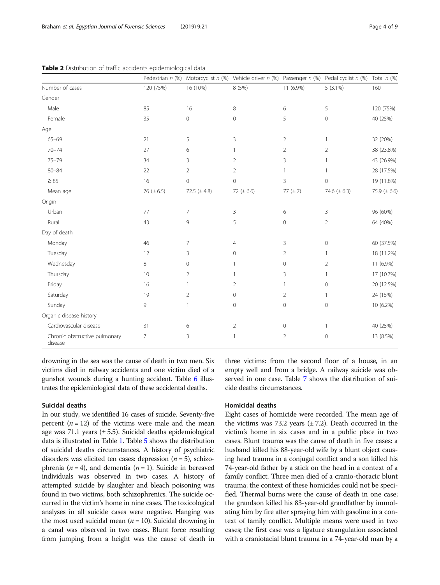|                                          |                 |                  | Pedestrian n (%) Motorcyclist n (%) Vehicle driver n (%) Passenger n (%) Pedal cyclist n (%) Total n (%) |                |                     |                   |
|------------------------------------------|-----------------|------------------|----------------------------------------------------------------------------------------------------------|----------------|---------------------|-------------------|
| Number of cases                          | 120 (75%)       | 16 (10%)         | 8 (5%)                                                                                                   | 11 (6.9%)      | $5(3.1\%)$          | 160               |
| Gender                                   |                 |                  |                                                                                                          |                |                     |                   |
| Male                                     | 85              | 16               | 8                                                                                                        | 6              | 5                   | 120 (75%)         |
| Female                                   | 35              | 0                | $\mathbf 0$                                                                                              | 5              | $\circ$             | 40 (25%)          |
| Age                                      |                 |                  |                                                                                                          |                |                     |                   |
| $65 - 69$                                | 21              | 5                | 3                                                                                                        | $\overline{2}$ | 1                   | 32 (20%)          |
| $70 - 74$                                | 27              | 6                | $\mathbf{1}$                                                                                             | $\overline{2}$ | $\overline{2}$      | 38 (23.8%)        |
| $75 - 79$                                | 34              | 3                | 2                                                                                                        | 3              |                     | 43 (26.9%)        |
| $80 - 84$                                | 22              | $\overline{2}$   | $\overline{2}$                                                                                           | $\mathbf{1}$   |                     | 28 (17.5%)        |
| $\geq 85$                                | 16              | $\overline{0}$   | $\overline{0}$                                                                                           | 3              | $\circ$             | 19 (11.8%)        |
| Mean age                                 | 76 ( $\pm$ 6.5) | 72.5 $(\pm 4.8)$ | 72 ( $\pm$ 6.6)                                                                                          | 77 $(\pm 7)$   | 74.6 $(\pm 6.3)$    | 75.9 ( $\pm$ 6.6) |
| Origin                                   |                 |                  |                                                                                                          |                |                     |                   |
| Urban                                    | 77              | $\overline{7}$   | 3                                                                                                        | 6              | 3                   | 96 (60%)          |
| Rural                                    | 43              | 9                | 5                                                                                                        | $\overline{0}$ | $\overline{2}$      | 64 (40%)          |
| Day of death                             |                 |                  |                                                                                                          |                |                     |                   |
| Monday                                   | 46              | 7                | $\overline{4}$                                                                                           | 3              | $\mathsf{O}\xspace$ | 60 (37.5%)        |
| Tuesday                                  | 12              | 3                | $\mathbf{0}$                                                                                             | $\overline{2}$ | $\mathbf{1}$        | 18 (11.2%)        |
| Wednesday                                | 8               | 0                | $\mathbf{1}$                                                                                             | 0              | $\overline{2}$      | 11 (6.9%)         |
| Thursday                                 | 10              | $\overline{2}$   | $\mathbf{1}$                                                                                             | 3              | 1                   | 17 (10.7%)        |
| Friday                                   | 16              | 1                | $\overline{2}$                                                                                           | 1              | $\mathsf{O}\xspace$ | 20 (12.5%)        |
| Saturday                                 | 19              | $\overline{2}$   | $\mathbf{0}$                                                                                             | $\overline{2}$ | 1                   | 24 (15%)          |
| Sunday                                   | 9               |                  | $\mathbf 0$                                                                                              | $\mathbf 0$    | $\mathsf{O}\xspace$ | 10 (6.2%)         |
| Organic disease history                  |                 |                  |                                                                                                          |                |                     |                   |
| Cardiovascular disease                   | 31              | 6                | $\overline{2}$                                                                                           | 0              | -1                  | 40 (25%)          |
| Chronic obstructive pulmonary<br>disease | 7               | 3                | $\mathbf{1}$                                                                                             | $\overline{2}$ | $\mathsf{O}\xspace$ | 13 (8.5%)         |

<span id="page-3-0"></span>Table 2 Distribution of traffic accidents epidemiological data

drowning in the sea was the cause of death in two men. Six victims died in railway accidents and one victim died of a gunshot wounds during a hunting accident. Table [6](#page-4-0) illustrates the epidemiological data of these accidental deaths.

#### Suicidal deaths

In our study, we identified 16 cases of suicide. Seventy-five percent  $(n = 12)$  of the victims were male and the mean age was 71.1 years  $(\pm 5.5)$ . Suicidal deaths epidemiological data is illustrated in Table [1](#page-1-0). Table [5](#page-4-0) shows the distribution of suicidal deaths circumstances. A history of psychiatric disorders was elicited ten cases: depression ( $n = 5$ ), schizophrenia ( $n = 4$ ), and dementia ( $n = 1$ ). Suicide in bereaved individuals was observed in two cases. A history of attempted suicide by slaughter and bleach poisoning was found in two victims, both schizophrenics. The suicide occurred in the victim's home in nine cases. The toxicological analyses in all suicide cases were negative. Hanging was the most used suicidal mean ( $n = 10$ ). Suicidal drowning in a canal was observed in two cases. Blunt force resulting from jumping from a height was the cause of death in three victims: from the second floor of a house, in an empty well and from a bridge. A railway suicide was observed in one case. Table [7](#page-5-0) shows the distribution of suicide deaths circumstances.

#### Homicidal deaths

Eight cases of homicide were recorded. The mean age of the victims was 73.2 years  $(\pm 7.2)$ . Death occurred in the victim's home in six cases and in a public place in two cases. Blunt trauma was the cause of death in five cases: a husband killed his 88-year-old wife by a blunt object causing head trauma in a conjugal conflict and a son killed his 74-year-old father by a stick on the head in a context of a family conflict. Three men died of a cranio-thoracic blunt trauma; the context of these homicides could not be specified. Thermal burns were the cause of death in one case; the grandson killed his 83-year-old grandfather by immolating him by fire after spraying him with gasoline in a context of family conflict. Multiple means were used in two cases; the first case was a ligature strangulation associated with a craniofacial blunt trauma in a 74-year-old man by a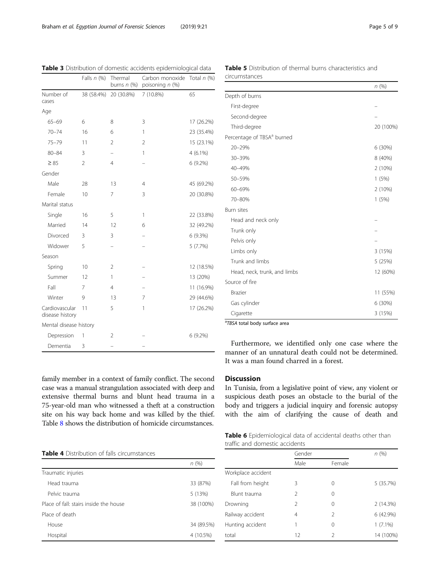<span id="page-4-0"></span>

| Table 3 Distribution of domestic accidents epidemiological data |  |  |
|-----------------------------------------------------------------|--|--|
|-----------------------------------------------------------------|--|--|

|                                   | Falls $n$ (%)  | Thermal<br>burns $n$ (%) | Carbon monoxide<br>poisoning n (%) | Total $n$ (%) |
|-----------------------------------|----------------|--------------------------|------------------------------------|---------------|
| Number of<br>cases                | 38 (58.4%)     | 20 (30.8%)               | 7 (10.8%)                          | 65            |
| Age                               |                |                          |                                    |               |
| $65 - 69$                         | 6              | 8                        | 3                                  | 17 (26.2%)    |
| $70 - 74$                         | 16             | 6                        | 1                                  | 23 (35.4%)    |
| $75 - 79$                         | 11             | $\overline{2}$           | $\overline{2}$                     | 15 (23.1%)    |
| $80 - 84$                         | 3              |                          | 1                                  | $4(6.1\%)$    |
| $\geq 85$                         | $\overline{2}$ | $\overline{4}$           |                                    | $6(9.2\%)$    |
| Gender                            |                |                          |                                    |               |
| Male                              | 28             | 13                       | $\overline{4}$                     | 45 (69.2%)    |
| Female                            | 10             | 7                        | 3                                  | 20 (30.8%)    |
| Marital status                    |                |                          |                                    |               |
| Single                            | 16             | 5                        | 1                                  | 22 (33.8%)    |
| Married                           | 14             | 12                       | 6                                  | 32 (49.2%)    |
| Divorced                          | 3              | 3                        |                                    | 6(9.3%)       |
| Widower                           | 5              | $\overline{\phantom{0}}$ |                                    | 5(7.7%)       |
| Season                            |                |                          |                                    |               |
| Spring                            | 10             | $\overline{2}$           |                                    | 12 (18.5%)    |
| Summer                            | 12             | 1                        |                                    | 13 (20%)      |
| Fall                              | 7              | $\overline{4}$           |                                    | 11 (16.9%)    |
| Winter                            | 9              | 13                       | 7                                  | 29 (44.6%)    |
| Cardiovascular<br>disease history | 11             | 5                        | 1                                  | 17 (26.2%)    |
| Mental disease history            |                |                          |                                    |               |
| Depression                        | 1              | $\overline{2}$           |                                    | 6 (9.2%)      |
| Dementia                          | 3              |                          |                                    |               |

Table 5 Distribution of thermal burns characteristics and circumstances

|                                        | n(%)      |
|----------------------------------------|-----------|
| Depth of burns                         |           |
| First-degree                           |           |
| Second-degree                          |           |
| Third-degree                           | 20 (100%) |
| Percentage of TBSA <sup>a</sup> burned |           |
| 20-29%                                 | 6(30%)    |
| 30-39%                                 | 8 (40%)   |
| 40-49%                                 | 2 (10%)   |
| 50-59%                                 | 1(5%)     |
| 60-69%                                 | 2 (10%)   |
| 70-80%                                 | 1(5%)     |
| <b>Burn sites</b>                      |           |
| Head and neck only                     |           |
| Trunk only                             |           |
| Pelvis only                            |           |
| Limbs only                             | 3(15%)    |
| Trunk and limbs                        | 5(25%)    |
| Head, neck, trunk, and limbs           | 12 (60%)  |
| Source of fire                         |           |
| <b>Brazier</b>                         | 11 (55%)  |
| Gas cylinder                           | 6(30%)    |
| Cigarette                              | 3 (15%)   |

a TBSA total body surface area

traffic and domestic accidents

Furthermore, we identified only one case where the manner of an unnatural death could not be determined. It was a man found charred in a forest.

family member in a context of family conflict. The second case was a manual strangulation associated with deep and extensive thermal burns and blunt head trauma in a 75-year-old man who witnessed a theft at a construction site on his way back home and was killed by the thief. Table [8](#page-5-0) shows the distribution of homicide circumstances.

#### Discussion

In Tunisia, from a legislative point of view, any violent or suspicious death poses an obstacle to the burial of the body and triggers a judicial inquiry and forensic autopsy with the aim of clarifying the cause of death and

Table 6 Epidemiological data of accidental deaths other than

Table 4 Distribution of falls circumstances

|                                        | n(%)       |
|----------------------------------------|------------|
| Traumatic injuries                     |            |
| Head trauma                            | 33 (87%)   |
| Pelvic trauma                          | 5 (13%)    |
| Place of fall: stairs inside the house | 38 (100%)  |
| Place of death                         |            |
| House                                  | 34 (89.5%) |
| Hospital                               | 4 (10.5%)  |
|                                        |            |

|                    | Gender        |               | n(%)       |
|--------------------|---------------|---------------|------------|
|                    | Male          | Female        |            |
| Workplace accident |               |               |            |
| Fall from height   | Β             | $\Omega$      | 5 (35.7%)  |
| Blunt trauma       | $\mathcal{P}$ | $\Omega$      |            |
| Drowning           | $\mathcal{P}$ | $\Omega$      | 2(14.3%)   |
| Railway accident   | 4             | $\mathcal{P}$ | 6(42.9%)   |
| Hunting accident   |               | 0             | $1(7.1\%)$ |
| total              | 12            | 2             | 14 (100%)  |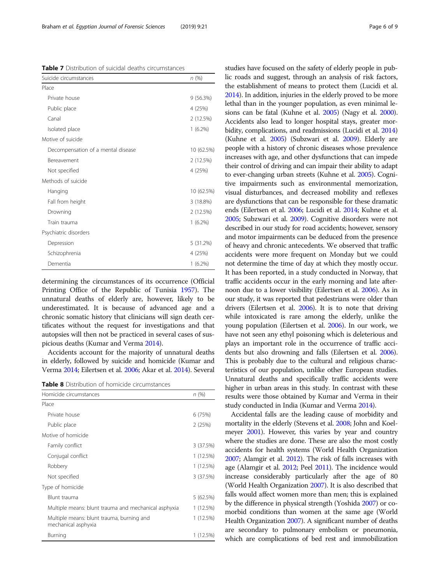<span id="page-5-0"></span>Table 7 Distribution of suicidal deaths circumstances

| Suicide circumstances              | n(%)       |
|------------------------------------|------------|
| Place                              |            |
| Private house                      | 9(56.3%)   |
| Public place                       | 4 (25%)    |
| Canal                              | 2(12.5%)   |
| Isolated place                     | $1(6.2\%)$ |
| Motive of suicide                  |            |
| Decompensation of a mental disease | 10 (62.5%) |
| Bereavement                        | 2(12.5%)   |
| Not specified                      | 4 (25%)    |
| Methods of suicide                 |            |
| Hanging                            | 10 (62.5%) |
| Fall from height                   | 3(18.8%)   |
| Drowning                           | 2 (12.5%)  |
| Train trauma                       | $1(6.2\%)$ |
| Psychiatric disorders              |            |
| Depression                         | 5 (31.2%)  |
| Schizophrenia                      | 4 (25%)    |
| Dementia                           | $1(6.2\%)$ |

determining the circumstances of its occurrence (Official Printing Office of the Republic of Tunisia [1957\)](#page-7-0). The unnatural deaths of elderly are, however, likely to be underestimated. It is because of advanced age and a chronic somatic history that clinicians will sign death certificates without the request for investigations and that autopsies will then not be practiced in several cases of suspicious deaths (Kumar and Verma [2014\)](#page-7-0).

Accidents account for the majority of unnatural deaths in elderly, followed by suicide and homicide (Kumar and Verma [2014](#page-7-0); Eilertsen et al. [2006](#page-7-0); Akar et al. [2014\)](#page-7-0). Several

Table 8 Distribution of homicide circumstances

| Homicide circumstances                                           | n(%)      |  |
|------------------------------------------------------------------|-----------|--|
| Place                                                            |           |  |
| Private house                                                    | 6 (75%)   |  |
| Public place                                                     | 2(25%)    |  |
| Motive of homicide                                               |           |  |
| Family conflict                                                  | 3 (37.5%) |  |
| Conjugal conflict                                                | 1 (12.5%) |  |
| Robbery                                                          | 1 (12.5%) |  |
| Not specified                                                    | 3 (37.5%) |  |
| Type of homicide                                                 |           |  |
| Blunt trauma                                                     | 5 (62.5%) |  |
| Multiple means: blunt trauma and mechanical asphyxia             | 1 (12.5%) |  |
| Multiple means: blunt trauma, burning and<br>mechanical asphyxia | 1 (12.5%) |  |
| Burning                                                          | 1 (12.5%) |  |
|                                                                  |           |  |

studies have focused on the safety of elderly people in public roads and suggest, through an analysis of risk factors, the establishment of means to protect them (Lucidi et al. [2014\)](#page-7-0). In addition, injuries in the elderly proved to be more lethal than in the younger population, as even minimal lesions can be fatal (Kuhne et al. [2005](#page-7-0)) (Nagy et al. [2000](#page-7-0)). Accidents also lead to longer hospital stays, greater morbidity, complications, and readmissions (Lucidi et al. [2014](#page-7-0)) (Kuhne et al. [2005](#page-7-0)) (Subzwari et al. [2009](#page-8-0)). Elderly are people with a history of chronic diseases whose prevalence increases with age, and other dysfunctions that can impede their control of driving and can impair their ability to adapt to ever-changing urban streets (Kuhne et al. [2005](#page-7-0)). Cognitive impairments such as environmental memorization, visual disturbances, and decreased mobility and reflexes are dysfunctions that can be responsible for these dramatic ends (Eilertsen et al. [2006;](#page-7-0) Lucidi et al. [2014](#page-7-0); Kuhne et al. [2005;](#page-7-0) Subzwari et al. [2009](#page-8-0)). Cognitive disorders were not described in our study for road accidents; however, sensory and motor impairments can be deduced from the presence of heavy and chronic antecedents. We observed that traffic accidents were more frequent on Monday but we could not determine the time of day at which they mostly occur. It has been reported, in a study conducted in Norway, that traffic accidents occur in the early morning and late afternoon due to a lower visibility (Eilertsen et al. [2006\)](#page-7-0). As in our study, it was reported that pedestrians were older than drivers (Eilertsen et al. [2006](#page-7-0)). It is to note that driving while intoxicated is rare among the elderly, unlike the young population (Eilertsen et al. [2006\)](#page-7-0). In our work, we have not seen any ethyl poisoning which is deleterious and plays an important role in the occurrence of traffic accidents but also drowning and falls (Eilertsen et al. [2006](#page-7-0)). This is probably due to the cultural and religious characteristics of our population, unlike other European studies. Unnatural deaths and specifically traffic accidents were higher in urban areas in this study. In contrast with these results were those obtained by Kumar and Verma in their study conducted in India (Kumar and Verma [2014\)](#page-7-0).

Accidental falls are the leading cause of morbidity and mortality in the elderly (Stevens et al. [2008;](#page-8-0) John and Koelmeyer [2001](#page-7-0)). However, this varies by year and country where the studies are done. These are also the most costly accidents for health systems (World Health Organization [2007;](#page-8-0) Alamgir et al. [2012\)](#page-7-0). The risk of falls increases with age (Alamgir et al. [2012](#page-7-0); Peel [2011\)](#page-8-0). The incidence would increase considerably particularly after the age of 80 (World Health Organization [2007](#page-8-0)). It is also described that falls would affect women more than men; this is explained by the difference in physical strength (Yoshida [2007](#page-8-0)) or comorbid conditions than women at the same age (World Health Organization [2007\)](#page-8-0). A significant number of deaths are secondary to pulmonary embolism or pneumonia, which are complications of bed rest and immobilization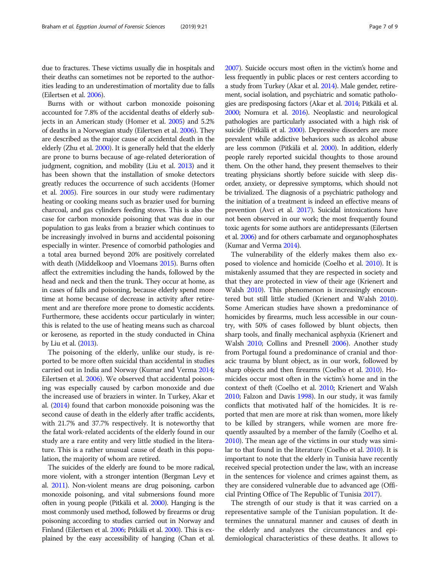due to fractures. These victims usually die in hospitals and their deaths can sometimes not be reported to the authorities leading to an underestimation of mortality due to falls (Eilertsen et al. [2006](#page-7-0)).

Burns with or without carbon monoxide poisoning accounted for 7.8% of the accidental deaths of elderly subjects in an American study (Homer et al. [2005](#page-7-0)) and 5.2% of deaths in a Norwegian study (Eilertsen et al. [2006\)](#page-7-0). They are described as the major cause of accidental death in the elderly (Zhu et al. [2000](#page-8-0)). It is generally held that the elderly are prone to burns because of age-related deterioration of judgment, cognition, and mobility (Liu et al. [2013\)](#page-7-0) and it has been shown that the installation of smoke detectors greatly reduces the occurrence of such accidents (Homer et al. [2005](#page-7-0)). Fire sources in our study were rudimentary heating or cooking means such as brazier used for burning charcoal, and gas cylinders feeding stoves. This is also the case for carbon monoxide poisoning that was due in our population to gas leaks from a brazier which continues to be increasingly involved in burns and accidental poisoning especially in winter. Presence of comorbid pathologies and a total area burned beyond 20% are positively correlated with death (Middelkoop and Vloemans [2015\)](#page-7-0). Burns often affect the extremities including the hands, followed by the head and neck and then the trunk. They occur at home, as in cases of falls and poisoning, because elderly spend more time at home because of decrease in activity after retirement and are therefore more prone to domestic accidents. Furthermore, these accidents occur particularly in winter; this is related to the use of heating means such as charcoal or kerosene, as reported in the study conducted in China by Liu et al. [\(2013\)](#page-7-0).

The poisoning of the elderly, unlike our study, is reported to be more often suicidal than accidental in studies carried out in India and Norway (Kumar and Verma [2014](#page-7-0); Eilertsen et al. [2006](#page-7-0)). We observed that accidental poisoning was especially caused by carbon monoxide and due the increased use of braziers in winter. In Turkey, Akar et al. ([2014](#page-7-0)) found that carbon monoxide poisoning was the second cause of death in the elderly after traffic accidents, with 21.7% and 37.7% respectively. It is noteworthy that the fatal work-related accidents of the elderly found in our study are a rare entity and very little studied in the literature. This is a rather unusual cause of death in this population, the majority of whom are retired.

The suicides of the elderly are found to be more radical, more violent, with a stronger intention (Bergman Levy et al. [2011\)](#page-7-0). Non-violent means are drug poisoning, carbon monoxide poisoning, and vital submersions found more often in young people (Pitkälä et al. [2000\)](#page-8-0). Hanging is the most commonly used method, followed by firearms or drug poisoning according to studies carried out in Norway and Finland (Eilertsen et al. [2006](#page-7-0); Pitkälä et al. [2000\)](#page-8-0). This is explained by the easy accessibility of hanging (Chan et al. [2007\)](#page-7-0). Suicide occurs most often in the victim's home and less frequently in public places or rest centers according to a study from Turkey (Akar et al. [2014](#page-7-0)). Male gender, retirement, social isolation, and psychiatric and somatic pathologies are predisposing factors (Akar et al. [2014](#page-7-0); Pitkälä et al. [2000;](#page-8-0) Nomura et al. [2016](#page-7-0)). Neoplastic and neurological pathologies are particularly associated with a high risk of suicide (Pitkälä et al. [2000](#page-8-0)). Depressive disorders are more prevalent while addictive behaviors such as alcohol abuse are less common (Pitkälä et al. [2000](#page-8-0)). In addition, elderly people rarely reported suicidal thoughts to those around them. On the other hand, they present themselves to their treating physicians shortly before suicide with sleep disorder, anxiety, or depressive symptoms, which should not be trivialized. The diagnosis of a psychiatric pathology and the initiation of a treatment is indeed an effective means of prevention (Avci et al. [2017\)](#page-7-0). Suicidal intoxications have not been observed in our work; the most frequently found toxic agents for some authors are antidepressants (Eilertsen et al. [2006](#page-7-0)) and for others carbamate and organophosphates (Kumar and Verma [2014\)](#page-7-0).

The vulnerability of the elderly makes them also exposed to violence and homicide (Coelho et al. [2010](#page-7-0)). It is mistakenly assumed that they are respected in society and that they are protected in view of their age (Krienert and Walsh [2010\)](#page-7-0). This phenomenon is increasingly encountered but still little studied (Krienert and Walsh [2010](#page-7-0)). Some American studies have shown a predominance of homicides by firearms, much less accessible in our country, with 50% of cases followed by blunt objects, then sharp tools, and finally mechanical asphyxia (Krienert and Walsh [2010](#page-7-0); Collins and Presnell [2006\)](#page-7-0). Another study from Portugal found a predominance of cranial and thoracic trauma by blunt object, as in our work, followed by sharp objects and then firearms (Coelho et al. [2010](#page-7-0)). Homicides occur most often in the victim's home and in the context of theft (Coelho et al. [2010](#page-7-0); Krienert and Walsh [2010](#page-7-0); Falzon and Davis [1998\)](#page-7-0). In our study, it was family conflicts that motivated half of the homicides. It is reported that men are more at risk than women, more likely to be killed by strangers, while women are more frequently assaulted by a member of the family (Coelho et al. [2010](#page-7-0)). The mean age of the victims in our study was similar to that found in the literature (Coelho et al. [2010](#page-7-0)). It is important to note that the elderly in Tunisia have recently received special protection under the law, with an increase in the sentences for violence and crimes against them, as they are considered vulnerable due to advanced age (Official Printing Office of The Republic of Tunisia [2017\)](#page-8-0).

The strength of our study is that it was carried on a representative sample of the Tunisian population. It determines the unnatural manner and causes of death in the elderly and analyzes the circumstances and epidemiological characteristics of these deaths. It allows to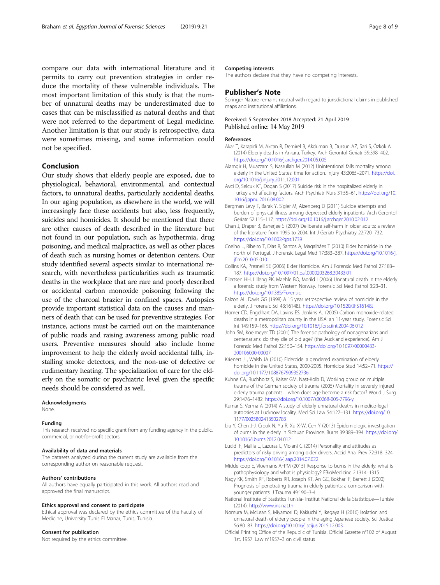<span id="page-7-0"></span>compare our data with international literature and it permits to carry out prevention strategies in order reduce the mortality of these vulnerable individuals. The most important limitation of this study is that the number of unnatural deaths may be underestimated due to cases that can be misclassified as natural deaths and that were not referred to the department of Legal medicine. Another limitation is that our study is retrospective, data were sometimes missing, and some information could not be specified.

#### Conclusion

Our study shows that elderly people are exposed, due to physiological, behavioral, environmental, and contextual factors, to unnatural deaths, particularly accidental deaths. In our aging population, as elsewhere in the world, we will increasingly face these accidents but also, less frequently, suicides and homicides. It should be mentioned that there are other causes of death described in the literature but not found in our population, such as hypothermia, drug poisoning, and medical malpractice, as well as other places of death such as nursing homes or detention centers. Our study identified several aspects similar to international research, with nevertheless particularities such as traumatic deaths in the workplace that are rare and poorly described or accidental carbon monoxide poisoning following the use of the charcoal brazier in confined spaces. Autopsies provide important statistical data on the causes and manners of death that can be used for preventive strategies. For instance, actions must be carried out on the maintenance of public roads and raising awareness among public road users. Preventive measures should also include home improvement to help the elderly avoid accidental falls, installing smoke detectors, and the non-use of defective or rudimentary heating. The specialization of care for the elderly on the somatic or psychiatric level given the specific needs should be considered as well.

#### Acknowledgments

None.

#### Funding

This research received no specific grant from any funding agency in the public, commercial, or not-for-profit sectors.

#### Availability of data and materials

The datasets analyzed during the current study are available from the corresponding author on reasonable request.

#### Authors' contributions

All authors have equally participated in this work. All authors read and approved the final manuscript.

#### Ethics approval and consent to participate

Ethical approval was declared by the ethics committee of the Faculty of Medicine, University Tunis El Manar, Tunis, Tunisia.

#### Consent for publication

Not required by the ethics committee.

#### Competing interests

The authors declare that they have no competing interests.

#### Publisher's Note

Springer Nature remains neutral with regard to jurisdictional claims in published maps and institutional affiliations.

#### Received: 5 September 2018 Accepted: 21 April 2019 Published online: 14 May 2019

#### References

- Akar T, Karapirli M, Akcan R, Demirel B, Akduman B, Dursun AZ, Sari S, Özkök A (2014) Elderly deaths in Ankara, Turkey. Arch Gerontol Geriatr 59:398–402. <https://doi.org/10.1016/j.archger.2014.05.005>
- Alamgir H, Muazzam S, Nasrullah M (2012) Unintentional falls mortality among elderly in the United States: time for action. Injury 43:2065–2071. [https://doi.](https://doi.org/10.1016/j.injury.2011.12.001) [org/10.1016/j.injury.2011.12.001](https://doi.org/10.1016/j.injury.2011.12.001)
- Avci D, Selcuk KT, Dogan S (2017) Suicide risk in the hospitalized elderly in Turkey and affecting factors. Arch Psychiatr Nurs 31:55–61. [https://doi.org/10.](https://doi.org/10.1016/j.apnu.2016.08.002) [1016/j.apnu.2016.08.002](https://doi.org/10.1016/j.apnu.2016.08.002)
- Bergman Levy T, Barak Y, Sigler M, Aizenberg D (2011) Suicide attempts and burden of physical illness among depressed elderly inpatients. Arch Gerontol Geriatr 52:115–117. <https://doi.org/10.1016/j.archger.2010.02.012>
- Chan J, Draper B, Banerjee S (2007) Deliberate self-harm in older adults: a review of the literature from 1995 to 2004. Int J Geriatr Psychiatry 22:720–732. <https://doi.org/10.1002/gps.1739>
- Coelho L, Ribeiro T, Dias R, Santos A, Magalhães T (2010) Elder homicide in the north of Portugal. J Forensic Legal Med 17:383–387. [https://doi.org/10.1016/j.](https://doi.org/10.1016/j.jflm.2010.05.010) iflm.2010.05.010
- Collins KA, Presnell SE (2006) Elder Homicide. Am J Forensic Med Pathol 27:183– 187. <https://doi.org/10.1097/01.paf.0000203268.30433.01>
- Eilertsen HH, Lilleng PK, Maehle BO, Morild I (2006) Unnatural death in the elderly a forensic study from Western Norway. Forensic Sci Med Pathol 3:23–31. <https://doi.org/10.1385/Forensic>
- Falzon AL, Davis GG (1998) A 15 year retrospective review of homicide in the elderly. J Forensic Sci 43:16148J. <https://doi.org/10.1520/JFS16148J>
- Homer CD, Engelhart DA, Lavins ES, Jenkins AJ (2005) Carbon monoxide-related deaths in a metropolitan county in the USA: an 11-year study. Forensic Sci Int 149:159–165. <https://doi.org/10.1016/j.forsciint.2004.06.012>
- John SM, Koelmeyer TD (2001) The forensic pathology of nonagenarians and centenarians: do they die of old age? (the Auckland experience). Am J Forensic Med Pathol 22:150–154. [https://doi.org/10.1097/00000433-](https://doi.org/10.1097/00000433-200106000-00007) [200106000-00007](https://doi.org/10.1097/00000433-200106000-00007)
- Krienert JL, Walsh JA (2010) Eldercide: a gendered examination of elderly homicide in the United States, 2000-2005. Homicide Stud 14:52–71. [https://](https://doi.org/10.1177/1088767909352736) [doi.org/10.1177/1088767909352736](https://doi.org/10.1177/1088767909352736)
- Kuhne CA, Ruchholtz S, Kaiser GM, Nast-Kolb D, Working group on multiple trauma of the German society of trauma (2005) Mortality in severely injured elderly trauma patients—when does age become a risk factor? World J Surg 29:1476–1482. <https://doi.org/10.1007/s00268-005-7796-y>
- Kumar S, Verma A (2014) A study of elderly unnatural deaths in medico-legal autopsies at Lucknow locality. Med Sci Law 54:127–131. [https://doi.org/10.](https://doi.org/10.1177/0025802413502783) [1177/0025802413502783](https://doi.org/10.1177/0025802413502783)
- Liu Y, Chen J-J, Crook N, Yu R, Xu X-W, Cen Y (2013) Epidemiologic investigation of burns in the elderly in Sichuan Province. Burns 39:389–394. [https://doi.org/](https://doi.org/10.1016/j.burns.2012.04.012) [10.1016/j.burns.2012.04.012](https://doi.org/10.1016/j.burns.2012.04.012)
- Lucidi F, Mallia L, Lazuras L, Violani C (2014) Personality and attitudes as predictors of risky driving among older drivers. Accid Anal Prev 72:318–324. <https://doi.org/10.1016/j.aap.2014.07.022>
- Middelkoop E, Vloemans AFPM (2015) Response to burns in the elderly: what is pathophysiology and what is physiology? EBioMedicine 2:1314–1315
- Nagy KK, Smith RF, Roberts RR, Joseph KT, An GC, Bokhari F, Barrett J (2000) Prognosis of penetrating trauma in elderly patients: a comparison with younger patients. J Trauma 49:190–3-4
- National Institute of Statistics Tunisia- Institut National de la Statistique—Tunisie (2014). <http://www.ins.nat.tn>
- Nomura M, McLean S, Miyamori D, Kakiuchi Y, Ikegaya H (2016) Isolation and unnatural death of elderly people in the aging Japanese society. Sci Justice 56:80–83. <https://doi.org/10.1016/j.scijus.2015.12.003>
- Official Printing Office of the Republic of Tunisia. Official Gazette n°102 of August 1st, 1957. Law n°1957–3 on civil status